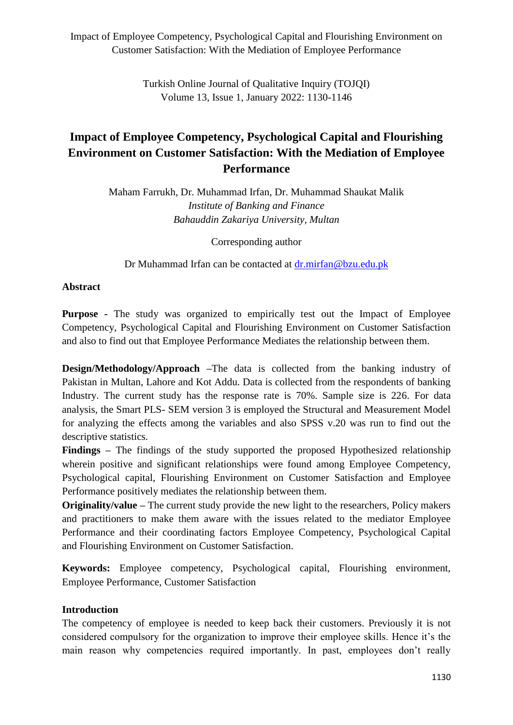> Turkish Online Journal of Qualitative Inquiry (TOJQI) Volume 13, Issue 1, January 2022: 1130-1146

# **Impact of Employee Competency, Psychological Capital and Flourishing Environment on Customer Satisfaction: With the Mediation of Employee Performance**

Maham Farrukh, Dr. Muhammad Irfan, Dr. Muhammad Shaukat Malik *Institute of Banking and Finance Bahauddin Zakariya University, Multan*

Corresponding author

Dr Muhammad Irfan can be contacted at [dr.mirfan@bzu.edu.pk](mailto:dr.mirfan@bzu.edu.pk)

#### **Abstract**

**Purpose -** The study was organized to empirically test out the Impact of Employee Competency, Psychological Capital and Flourishing Environment on Customer Satisfaction and also to find out that Employee Performance Mediates the relationship between them.

**Design/Methodology/Approach** –The data is collected from the banking industry of Pakistan in Multan, Lahore and Kot Addu. Data is collected from the respondents of banking Industry. The current study has the response rate is 70%. Sample size is 226. For data analysis, the Smart PLS- SEM version 3 is employed the Structural and Measurement Model for analyzing the effects among the variables and also SPSS v.20 was run to find out the descriptive statistics.

**Findings –** The findings of the study supported the proposed Hypothesized relationship wherein positive and significant relationships were found among Employee Competency, Psychological capital, Flourishing Environment on Customer Satisfaction and Employee Performance positively mediates the relationship between them.

**Originality/value –** The current study provide the new light to the researchers, Policy makers and practitioners to make them aware with the issues related to the mediator Employee Performance and their coordinating factors Employee Competency, Psychological Capital and Flourishing Environment on Customer Satisfaction.

**Keywords:** Employee competency, Psychological capital, Flourishing environment, Employee Performance, Customer Satisfaction

#### **Introduction**

The competency of employee is needed to keep back their customers. Previously it is not considered compulsory for the organization to improve their employee skills. Hence it's the main reason why competencies required importantly. In past, employees don't really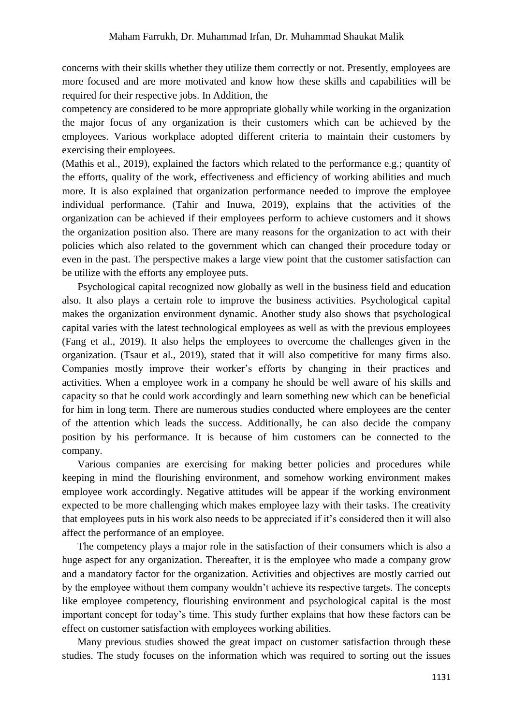concerns with their skills whether they utilize them correctly or not. Presently, employees are more focused and are more motivated and know how these skills and capabilities will be required for their respective jobs. In Addition, the

competency are considered to be more appropriate globally while working in the organization the major focus of any organization is their customers which can be achieved by the employees. Various workplace adopted different criteria to maintain their customers by exercising their employees.

[\(Mathis et al., 2019\)](#page-15-0), explained the factors which related to the performance e.g.; quantity of the efforts, quality of the work, effectiveness and efficiency of working abilities and much more. It is also explained that organization performance needed to improve the employee individual performance. [\(Tahir and Inuwa, 2019\)](#page-16-0), explains that the activities of the organization can be achieved if their employees perform to achieve customers and it shows the organization position also. There are many reasons for the organization to act with their policies which also related to the government which can changed their procedure today or even in the past. The perspective makes a large view point that the customer satisfaction can be utilize with the efforts any employee puts.

Psychological capital recognized now globally as well in the business field and education also. It also plays a certain role to improve the business activities. Psychological capital makes the organization environment dynamic. Another study also shows that psychological capital varies with the latest technological employees as well as with the previous employees [\(Fang et al., 2019\)](#page-14-0). It also helps the employees to overcome the challenges given in the organization. [\(Tsaur et al., 2019\)](#page-16-1), stated that it will also competitive for many firms also. Companies mostly improve their worker's efforts by changing in their practices and activities. When a employee work in a company he should be well aware of his skills and capacity so that he could work accordingly and learn something new which can be beneficial for him in long term. There are numerous studies conducted where employees are the center of the attention which leads the success. Additionally, he can also decide the company position by his performance. It is because of him customers can be connected to the company.

Various companies are exercising for making better policies and procedures while keeping in mind the flourishing environment, and somehow working environment makes employee work accordingly. Negative attitudes will be appear if the working environment expected to be more challenging which makes employee lazy with their tasks. The creativity that employees puts in his work also needs to be appreciated if it's considered then it will also affect the performance of an employee.

The competency plays a major role in the satisfaction of their consumers which is also a huge aspect for any organization. Thereafter, it is the employee who made a company grow and a mandatory factor for the organization. Activities and objectives are mostly carried out by the employee without them company wouldn't achieve its respective targets. The concepts like employee competency, flourishing environment and psychological capital is the most important concept for today's time. This study further explains that how these factors can be effect on customer satisfaction with employees working abilities.

Many previous studies showed the great impact on customer satisfaction through these studies. The study focuses on the information which was required to sorting out the issues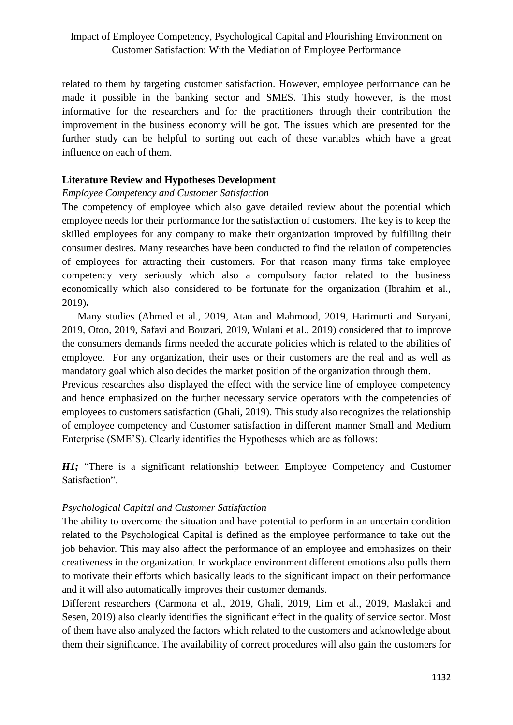related to them by targeting customer satisfaction. However, employee performance can be made it possible in the banking sector and SMES. This study however, is the most informative for the researchers and for the practitioners through their contribution the improvement in the business economy will be got. The issues which are presented for the further study can be helpful to sorting out each of these variables which have a great influence on each of them.

#### **Literature Review and Hypotheses Development**

#### *Employee Competency and Customer Satisfaction*

The competency of employee which also gave detailed review about the potential which employee needs for their performance for the satisfaction of customers. The key is to keep the skilled employees for any company to make their organization improved by fulfilling their consumer desires. Many researches have been conducted to find the relation of competencies of employees for attracting their customers. For that reason many firms take employee competency very seriously which also a compulsory factor related to the business economically which also considered to be fortunate for the organization [\(Ibrahim et al.,](#page-15-1)  [2019\)](#page-15-1)**.**

Many studies [\(Ahmed et al., 2019,](#page-13-0) [Atan and Mahmood, 2019,](#page-14-1) [Harimurti and Suryani,](#page-14-2)  [2019,](#page-14-2) [Otoo, 2019,](#page-16-2) [Safavi and Bouzari, 2019,](#page-16-3) [Wulani et al., 2019\)](#page-16-4) considered that to improve the consumers demands firms needed the accurate policies which is related to the abilities of employee. For any organization, their uses or their customers are the real and as well as mandatory goal which also decides the market position of the organization through them.

Previous researches also displayed the effect with the service line of employee competency and hence emphasized on the further necessary service operators with the competencies of employees to customers satisfaction [\(Ghali, 2019\)](#page-14-3). This study also recognizes the relationship of employee competency and Customer satisfaction in different manner Small and Medium Enterprise (SME'S). Clearly identifies the Hypotheses which are as follows:

*H1*; "There is a significant relationship between Employee Competency and Customer Satisfaction".

#### *Psychological Capital and Customer Satisfaction*

The ability to overcome the situation and have potential to perform in an uncertain condition related to the Psychological Capital is defined as the employee performance to take out the job behavior. This may also affect the performance of an employee and emphasizes on their creativeness in the organization. In workplace environment different emotions also pulls them to motivate their efforts which basically leads to the significant impact on their performance and it will also automatically improves their customer demands.

Different researchers [\(Carmona et al., 2019,](#page-14-4) [Ghali, 2019,](#page-14-3) [Lim et al., 2019,](#page-15-2) [Maslakci and](#page-15-3)  [Sesen, 2019\)](#page-15-3) also clearly identifies the significant effect in the quality of service sector. Most of them have also analyzed the factors which related to the customers and acknowledge about them their significance. The availability of correct procedures will also gain the customers for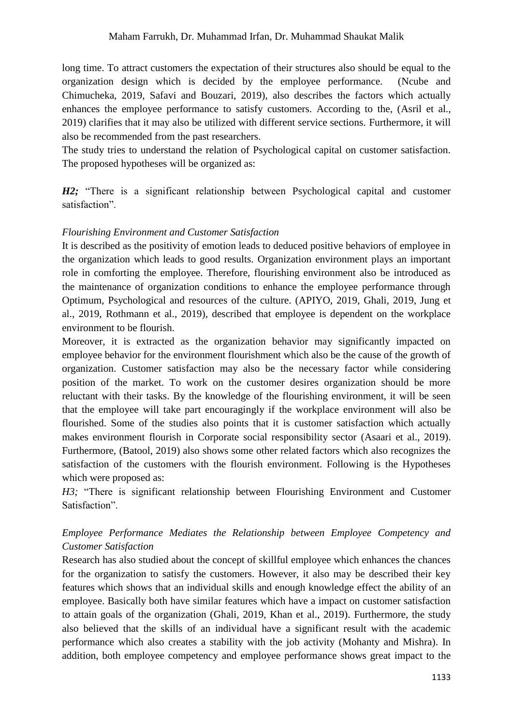long time. To attract customers the expectation of their structures also should be equal to the organization design which is decided by the employee performance. [\(Ncube and](#page-15-4)  [Chimucheka, 2019,](#page-15-4) [Safavi and Bouzari, 2019\)](#page-16-3), also describes the factors which actually enhances the employee performance to satisfy customers. According to the, [\(Asril et al.,](#page-14-5)  [2019\)](#page-14-5) clarifies that it may also be utilized with different service sections. Furthermore, it will also be recommended from the past researchers.

The study tries to understand the relation of Psychological capital on customer satisfaction. The proposed hypotheses will be organized as:

*H2;* "There is a significant relationship between Psychological capital and customer satisfaction".

#### *Flourishing Environment and Customer Satisfaction*

It is described as the positivity of emotion leads to deduced positive behaviors of employee in the organization which leads to good results. Organization environment plays an important role in comforting the employee. Therefore, flourishing environment also be introduced as the maintenance of organization conditions to enhance the employee performance through Optimum, Psychological and resources of the culture. [\(APIYO, 2019,](#page-14-6) [Ghali, 2019,](#page-14-3) [Jung et](#page-15-5)  [al., 2019,](#page-15-5) [Rothmann et al., 2019\)](#page-16-5), described that employee is dependent on the workplace environment to be flourish.

Moreover, it is extracted as the organization behavior may significantly impacted on employee behavior for the environment flourishment which also be the cause of the growth of organization. Customer satisfaction may also be the necessary factor while considering position of the market. To work on the customer desires organization should be more reluctant with their tasks. By the knowledge of the flourishing environment, it will be seen that the employee will take part encouragingly if the workplace environment will also be flourished. Some of the studies also points that it is customer satisfaction which actually makes environment flourish in Corporate social responsibility sector [\(Asaari et al., 2019\)](#page-14-7). Furthermore, [\(Batool, 2019\)](#page-14-8) also shows some other related factors which also recognizes the satisfaction of the customers with the flourish environment. Following is the Hypotheses which were proposed as:

*H3;* "There is significant relationship between Flourishing Environment and Customer Satisfaction".

# *Employee Performance Mediates the Relationship between Employee Competency and Customer Satisfaction*

Research has also studied about the concept of skillful employee which enhances the chances for the organization to satisfy the customers. However, it also may be described their key features which shows that an individual skills and enough knowledge effect the ability of an employee. Basically both have similar features which have a impact on customer satisfaction to attain goals of the organization [\(Ghali, 2019,](#page-14-3) [Khan et al., 2019\)](#page-15-6). Furthermore, the study also believed that the skills of an individual have a significant result with the academic performance which also creates a stability with the job activity [\(Mohanty and Mishra\)](#page-15-7). In addition, both employee competency and employee performance shows great impact to the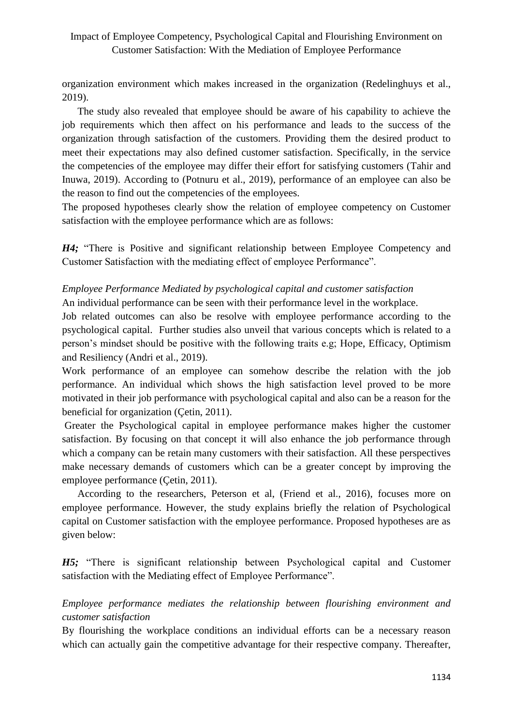organization environment which makes increased in the organization [\(Redelinghuys et al.,](#page-16-6)  [2019\)](#page-16-6).

The study also revealed that employee should be aware of his capability to achieve the job requirements which then affect on his performance and leads to the success of the organization through satisfaction of the customers. Providing them the desired product to meet their expectations may also defined customer satisfaction. Specifically, in the service the competencies of the employee may differ their effort for satisfying customers [\(Tahir and](#page-16-0)  [Inuwa, 2019\)](#page-16-0). According to [\(Potnuru et al., 2019\)](#page-16-7), performance of an employee can also be the reason to find out the competencies of the employees.

The proposed hypotheses clearly show the relation of employee competency on Customer satisfaction with the employee performance which are as follows:

*H4;* "There is Positive and significant relationship between Employee Competency and Customer Satisfaction with the mediating effect of employee Performance".

### *Employee Performance Mediated by psychological capital and customer satisfaction* An individual performance can be seen with their performance level in the workplace.

Job related outcomes can also be resolve with employee performance according to the psychological capital. Further studies also unveil that various concepts which is related to a person's mindset should be positive with the following traits e.g; Hope, Efficacy, Optimism and Resiliency [\(Andri et al., 2019\)](#page-14-9).

Work performance of an employee can somehow describe the relation with the job performance. An individual which shows the high satisfaction level proved to be more motivated in their job performance with psychological capital and also can be a reason for the beneficial for organization [\(Çetin, 2011\)](#page-14-10).

Greater the Psychological capital in employee performance makes higher the customer satisfaction. By focusing on that concept it will also enhance the job performance through which a company can be retain many customers with their satisfaction. All these perspectives make necessary demands of customers which can be a greater concept by improving the employee performance [\(Çetin, 2011\)](#page-14-10).

According to the researchers, Peterson et al, [\(Friend et al., 2016\)](#page-14-11), focuses more on employee performance. However, the study explains briefly the relation of Psychological capital on Customer satisfaction with the employee performance. Proposed hypotheses are as given below:

*H5;* "There is significant relationship between Psychological capital and Customer satisfaction with the Mediating effect of Employee Performance".

*Employee performance mediates the relationship between flourishing environment and customer satisfaction*

By flourishing the workplace conditions an individual efforts can be a necessary reason which can actually gain the competitive advantage for their respective company. Thereafter,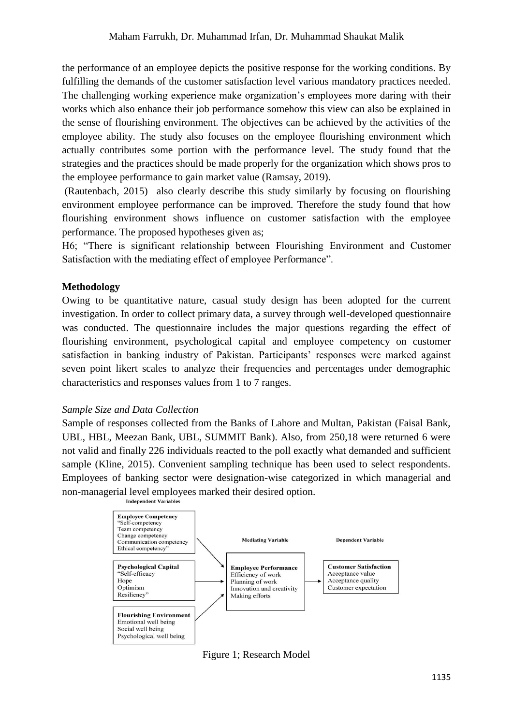the performance of an employee depicts the positive response for the working conditions. By fulfilling the demands of the customer satisfaction level various mandatory practices needed. The challenging working experience make organization's employees more daring with their works which also enhance their job performance somehow this view can also be explained in the sense of flourishing environment. The objectives can be achieved by the activities of the employee ability. The study also focuses on the employee flourishing environment which actually contributes some portion with the performance level. The study found that the strategies and the practices should be made properly for the organization which shows pros to the employee performance to gain market value [\(Ramsay, 2019\)](#page-16-8).

[\(Rautenbach, 2015\)](#page-16-9) also clearly describe this study similarly by focusing on flourishing environment employee performance can be improved. Therefore the study found that how flourishing environment shows influence on customer satisfaction with the employee performance. The proposed hypotheses given as;

H6; "There is significant relationship between Flourishing Environment and Customer Satisfaction with the mediating effect of employee Performance".

#### **Methodology**

Owing to be quantitative nature, casual study design has been adopted for the current investigation. In order to collect primary data, a survey through well-developed questionnaire was conducted. The questionnaire includes the major questions regarding the effect of flourishing environment, psychological capital and employee competency on customer satisfaction in banking industry of Pakistan. Participants' responses were marked against seven point likert scales to analyze their frequencies and percentages under demographic characteristics and responses values from 1 to 7 ranges.

#### *Sample Size and Data Collection*

Sample of responses collected from the Banks of Lahore and Multan, Pakistan (Faisal Bank, UBL, HBL, Meezan Bank, UBL, SUMMIT Bank). Also, from 250,18 were returned 6 were not valid and finally 226 individuals reacted to the poll exactly what demanded and sufficient sample [\(Kline, 2015\)](#page-15-8). Convenient sampling technique has been used to select respondents. Employees of banking sector were designation-wise categorized in which managerial and non-managerial level employees marked their desired option.



Figure 1; Research Model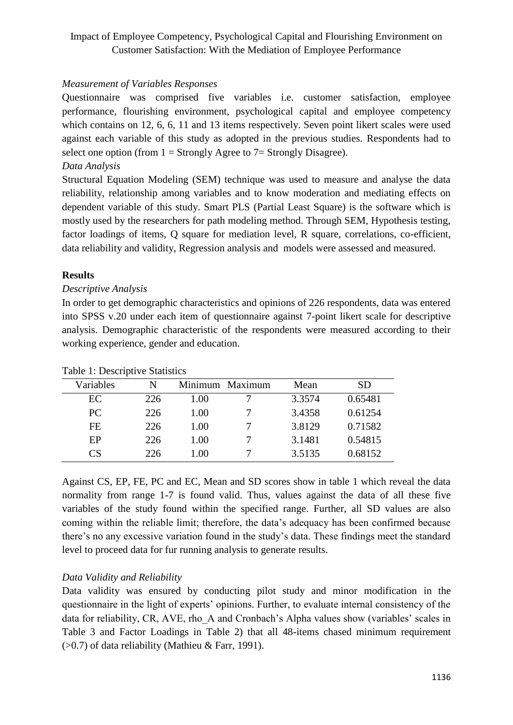## *Measurement of Variables Responses*

Questionnaire was comprised five variables i.e. customer satisfaction, employee performance, flourishing environment, psychological capital and employee competency which contains on 12, 6, 6, 11 and 13 items respectively. Seven point likert scales were used against each variable of this study as adopted in the previous studies. Respondents had to select one option (from  $1 =$  Strongly Agree to  $7 =$  Strongly Disagree).

### *Data Analysis*

Structural Equation Modeling (SEM) technique was used to measure and analyse the data reliability, relationship among variables and to know moderation and mediating effects on dependent variable of this study. Smart PLS (Partial Least Square) is the software which is mostly used by the researchers for path modeling method. Through SEM, Hypothesis testing, factor loadings of items, Q square for mediation level, R square, correlations, co-efficient, data reliability and validity, Regression analysis and models were assessed and measured.

## **Results**

## *Descriptive Analysis*

In order to get demographic characteristics and opinions of 226 respondents, data was entered into SPSS v.20 under each item of questionnaire against 7-point likert scale for descriptive analysis. Demographic characteristic of the respondents were measured according to their working experience, gender and education.

| Variables | N   | Minimum Maximum | Mean   | SD      |
|-----------|-----|-----------------|--------|---------|
| EC.       | 226 | 1.00            | 3.3574 | 0.65481 |
| PC        | 226 | 1.00            | 3.4358 | 0.61254 |
| FE.       | 226 | 1.00            | 3.8129 | 0.71582 |
| EP        | 226 | 1.00            | 3.1481 | 0.54815 |
| CS        | 226 | 1.00            | 3.5135 | 0.68152 |

#### Table 1: Descriptive Statistics

Against CS, EP, FE, PC and EC, Mean and SD scores show in table 1 which reveal the data normality from range 1-7 is found valid. Thus, values against the data of all these five variables of the study found within the specified range. Further, all SD values are also coming within the reliable limit; therefore, the data's adequacy has been confirmed because there's no any excessive variation found in the study's data. These findings meet the standard level to proceed data for fur running analysis to generate results.

# *Data Validity and Reliability*

Data validity was ensured by conducting pilot study and minor modification in the questionnaire in the light of experts' opinions. Further, to evaluate internal consistency of the data for reliability, CR, AVE, rho A and Cronbach's Alpha values show (variables' scales in Table 3 and Factor Loadings in Table 2) that all 48-items chased minimum requirement (>0.7) of data reliability (Mathieu & Farr, 1991).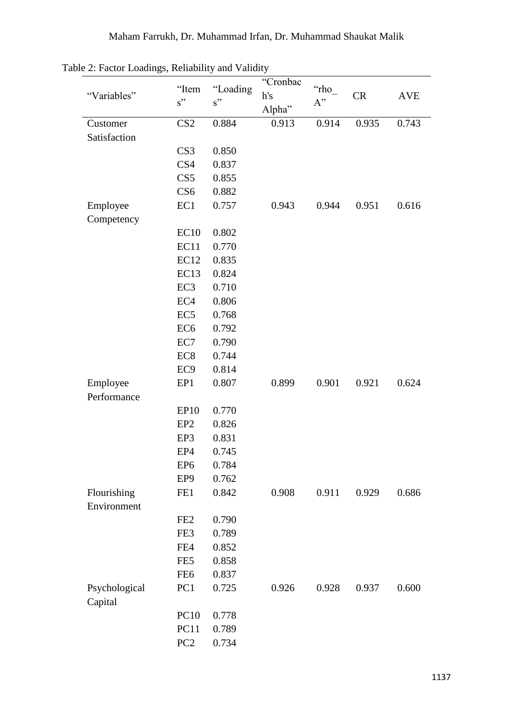| $\epsilon$ . $\epsilon$ and $\epsilon$ and $\epsilon$ and $\epsilon$ and $\epsilon$ and $\epsilon$ and $\epsilon$ and $\epsilon$ and $\epsilon$ and $\epsilon$ and $\epsilon$ and $\epsilon$ and $\epsilon$ and $\epsilon$ and $\epsilon$ and $\epsilon$ and $\epsilon$ and $\epsilon$ and $\epsilon$ and $\epsilon$ and $\epsilon$ and $\epsilon$ and $\epsilon$ and $\epsilon$ an |                  | $_{\text{unco}}$ , $_{\text{unco}}$ , | "Cronbac |            |           |            |
|-------------------------------------------------------------------------------------------------------------------------------------------------------------------------------------------------------------------------------------------------------------------------------------------------------------------------------------------------------------------------------------|------------------|---------------------------------------|----------|------------|-----------|------------|
| "Variables"                                                                                                                                                                                                                                                                                                                                                                         | "Item            | "Loading<br>s"<br>s"                  |          | "rho<br>A" | <b>CR</b> | <b>AVE</b> |
|                                                                                                                                                                                                                                                                                                                                                                                     |                  |                                       | Alpha"   |            |           |            |
| Customer                                                                                                                                                                                                                                                                                                                                                                            | CS <sub>2</sub>  | 0.884                                 | 0.913    | 0.914      | 0.935     | 0.743      |
| Satisfaction                                                                                                                                                                                                                                                                                                                                                                        |                  |                                       |          |            |           |            |
|                                                                                                                                                                                                                                                                                                                                                                                     | CS <sub>3</sub>  | 0.850                                 |          |            |           |            |
|                                                                                                                                                                                                                                                                                                                                                                                     | CS4              | 0.837                                 |          |            |           |            |
|                                                                                                                                                                                                                                                                                                                                                                                     | CS5              | 0.855                                 |          |            |           |            |
|                                                                                                                                                                                                                                                                                                                                                                                     | CS <sub>6</sub>  | 0.882                                 |          |            |           |            |
| Employee                                                                                                                                                                                                                                                                                                                                                                            | EC1              | 0.757                                 | 0.943    | 0.944      | 0.951     | 0.616      |
| Competency                                                                                                                                                                                                                                                                                                                                                                          |                  |                                       |          |            |           |            |
|                                                                                                                                                                                                                                                                                                                                                                                     | EC10             | 0.802                                 |          |            |           |            |
|                                                                                                                                                                                                                                                                                                                                                                                     | EC11             | 0.770                                 |          |            |           |            |
|                                                                                                                                                                                                                                                                                                                                                                                     | <b>EC12</b>      | 0.835                                 |          |            |           |            |
|                                                                                                                                                                                                                                                                                                                                                                                     | EC <sub>13</sub> | 0.824                                 |          |            |           |            |
|                                                                                                                                                                                                                                                                                                                                                                                     | EC <sub>3</sub>  | 0.710                                 |          |            |           |            |
|                                                                                                                                                                                                                                                                                                                                                                                     | EC <sub>4</sub>  | 0.806                                 |          |            |           |            |
|                                                                                                                                                                                                                                                                                                                                                                                     | EC <sub>5</sub>  | 0.768                                 |          |            |           |            |
|                                                                                                                                                                                                                                                                                                                                                                                     | EC <sub>6</sub>  | 0.792                                 |          |            |           |            |
|                                                                                                                                                                                                                                                                                                                                                                                     | EC7              | 0.790                                 |          |            |           |            |
|                                                                                                                                                                                                                                                                                                                                                                                     | EC <sub>8</sub>  | 0.744                                 |          |            |           |            |
|                                                                                                                                                                                                                                                                                                                                                                                     | EC <sub>9</sub>  | 0.814                                 |          |            |           |            |
| Employee                                                                                                                                                                                                                                                                                                                                                                            | EP1              | 0.807                                 | 0.899    | 0.901      | 0.921     | 0.624      |
| Performance                                                                                                                                                                                                                                                                                                                                                                         |                  |                                       |          |            |           |            |
|                                                                                                                                                                                                                                                                                                                                                                                     | <b>EP10</b>      | 0.770                                 |          |            |           |            |
|                                                                                                                                                                                                                                                                                                                                                                                     | EP <sub>2</sub>  | 0.826                                 |          |            |           |            |
|                                                                                                                                                                                                                                                                                                                                                                                     | EP3              | 0.831                                 |          |            |           |            |
|                                                                                                                                                                                                                                                                                                                                                                                     | EP4              | 0.745                                 |          |            |           |            |
|                                                                                                                                                                                                                                                                                                                                                                                     | EP <sub>6</sub>  | 0.784                                 |          |            |           |            |
|                                                                                                                                                                                                                                                                                                                                                                                     | EP <sub>9</sub>  | 0.762                                 |          |            |           |            |
| Flourishing                                                                                                                                                                                                                                                                                                                                                                         | FE1              | 0.842                                 | 0.908    | 0.911      | 0.929     | 0.686      |
| Environment                                                                                                                                                                                                                                                                                                                                                                         |                  |                                       |          |            |           |            |
|                                                                                                                                                                                                                                                                                                                                                                                     | FE <sub>2</sub>  | 0.790                                 |          |            |           |            |
|                                                                                                                                                                                                                                                                                                                                                                                     | FE3              | 0.789                                 |          |            |           |            |
|                                                                                                                                                                                                                                                                                                                                                                                     | FE4              | 0.852                                 |          |            |           |            |
|                                                                                                                                                                                                                                                                                                                                                                                     | FE5              | 0.858                                 |          |            |           |            |
|                                                                                                                                                                                                                                                                                                                                                                                     | FE <sub>6</sub>  | 0.837                                 |          |            |           |            |
| Psychological                                                                                                                                                                                                                                                                                                                                                                       | PC1              | 0.725                                 | 0.926    | 0.928      | 0.937     | 0.600      |
| Capital                                                                                                                                                                                                                                                                                                                                                                             |                  |                                       |          |            |           |            |
|                                                                                                                                                                                                                                                                                                                                                                                     | <b>PC10</b>      | 0.778                                 |          |            |           |            |
|                                                                                                                                                                                                                                                                                                                                                                                     | PC11             | 0.789                                 |          |            |           |            |
|                                                                                                                                                                                                                                                                                                                                                                                     | PC <sub>2</sub>  | 0.734                                 |          |            |           |            |

Table 2: Factor Loadings, Reliability and Validity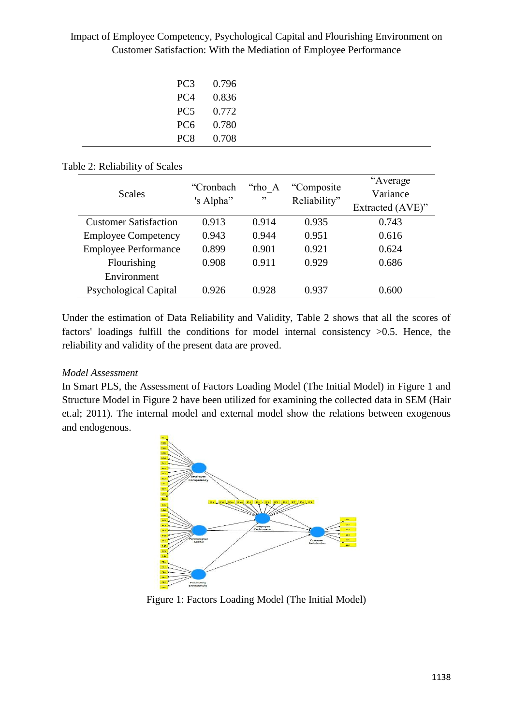| PC <sub>3</sub> | 0.796 |
|-----------------|-------|
| PC <sub>4</sub> | 0.836 |
| PC <sub>5</sub> | 0.772 |
| PC <sub>6</sub> | 0.780 |
| PC <sub>8</sub> | 0.708 |

## Table 2: Reliability of Scales

| <b>Scales</b>                | "Cronbach<br>'s Alpha" | "rho A<br>, , | "Composite"<br>Reliability" | "Average<br>Variance<br>Extracted (AVE)" |
|------------------------------|------------------------|---------------|-----------------------------|------------------------------------------|
|                              |                        |               |                             |                                          |
| <b>Customer Satisfaction</b> | 0.913                  | 0.914         | 0.935                       | 0.743                                    |
| <b>Employee Competency</b>   | 0.943                  | 0.944         | 0.951                       | 0.616                                    |
| <b>Employee Performance</b>  | 0.899                  | 0.901         | 0.921                       | 0.624                                    |
| Flourishing                  | 0.908                  | 0.911         | 0.929                       | 0.686                                    |
| Environment                  |                        |               |                             |                                          |
| <b>Psychological Capital</b> | 0.926                  | 0.928         | 0.937                       | 0.600                                    |

Under the estimation of Data Reliability and Validity, Table 2 shows that all the scores of factors' loadings fulfill the conditions for model internal consistency  $>0.5$ . Hence, the reliability and validity of the present data are proved.

# *Model Assessment*

In Smart PLS, the Assessment of Factors Loading Model (The Initial Model) in Figure 1 and Structure Model in Figure 2 have been utilized for examining the collected data in SEM (Hair et.al; 2011). The internal model and external model show the relations between exogenous and endogenous.



Figure 1: Factors Loading Model (The Initial Model)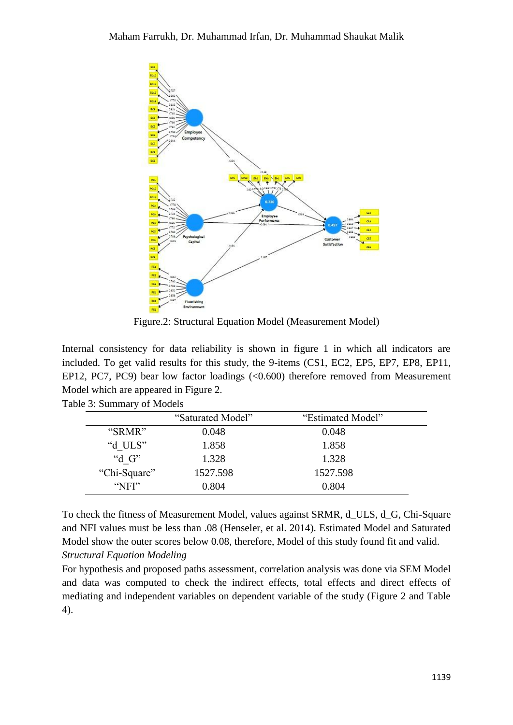

Figure.2: Structural Equation Model (Measurement Model)

Internal consistency for data reliability is shown in figure 1 in which all indicators are included. To get valid results for this study, the 9-items (CS1, EC2, EP5, EP7, EP8, EP11, EP12, PC7, PC9) bear low factor loadings  $( $0.600$ ) therefore removed from Measurement$ Model which are appeared in Figure 2.

| Table 3: Summary of Models |  |
|----------------------------|--|
| $\sqrt{2}$                 |  |

|                 | "Saturated Model" | "Estimated Model" |  |
|-----------------|-------------------|-------------------|--|
| "SRMR"          | 0.048             | 0.048             |  |
| "d ULS"         | 1.858             | 1.858             |  |
| "d $G$ "        | 1.328             | 1.328             |  |
| "Chi-Square"    | 1527.598          | 1527.598          |  |
| $^{\circ}$ NFI" | 0.804             | 0.804             |  |

To check the fitness of Measurement Model, values against SRMR, d\_ULS, d\_G, Chi-Square and NFI values must be less than .08 (Henseler, et al. 2014). Estimated Model and Saturated Model show the outer scores below 0.08, therefore, Model of this study found fit and valid. *Structural Equation Modeling*

For hypothesis and proposed paths assessment, correlation analysis was done via SEM Model and data was computed to check the indirect effects, total effects and direct effects of mediating and independent variables on dependent variable of the study (Figure 2 and Table 4).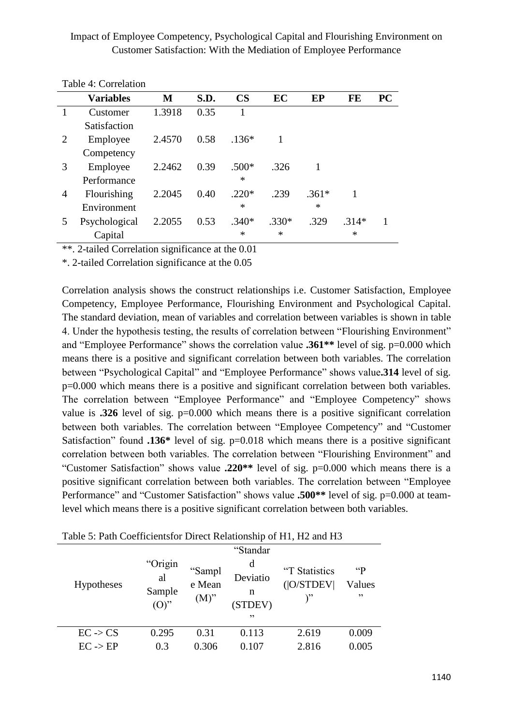|   | <b>Variables</b> | M      | S.D. | $\mathbf{CS}$ | EC      | EP      | FE      | PC |
|---|------------------|--------|------|---------------|---------|---------|---------|----|
|   | Customer         | 1.3918 | 0.35 |               |         |         |         |    |
|   | Satisfaction     |        |      |               |         |         |         |    |
| 2 | Employee         | 2.4570 | 0.58 | $.136*$       |         |         |         |    |
|   | Competency       |        |      |               |         |         |         |    |
| 3 | Employee         | 2.2462 | 0.39 | $.500*$       | .326    |         |         |    |
|   | Performance      |        |      | $\ast$        |         |         |         |    |
| 4 | Flourishing      | 2.2045 | 0.40 | $.220*$       | .239    | $.361*$ |         |    |
|   | Environment      |        |      | $\ast$        |         | $\ast$  |         |    |
| 5 | Psychological    | 2.2055 | 0.53 | $.340*$       | $.330*$ | .329    | $.314*$ |    |
|   | Capital          |        |      | $\ast$        | $\ast$  |         | $\ast$  |    |

Table 4: Correlation

\*\*. 2-tailed Correlation significance at the 0.01

\*. 2-tailed Correlation significance at the 0.05

Correlation analysis shows the construct relationships i.e. Customer Satisfaction, Employee Competency, Employee Performance, Flourishing Environment and Psychological Capital. The standard deviation, mean of variables and correlation between variables is shown in table 4. Under the hypothesis testing, the results of correlation between "Flourishing Environment" and "Employee Performance" shows the correlation value **.361\*\*** level of sig. p=0.000 which means there is a positive and significant correlation between both variables. The correlation between "Psychological Capital" and "Employee Performance" shows value**.314** level of sig. p=0.000 which means there is a positive and significant correlation between both variables. The correlation between "Employee Performance" and "Employee Competency" shows value is **.326** level of sig. p=0.000 which means there is a positive significant correlation between both variables. The correlation between "Employee Competency" and "Customer Satisfaction" found **.136\*** level of sig. p=0.018 which means there is a positive significant correlation between both variables. The correlation between "Flourishing Environment" and "Customer Satisfaction" shows value **.220\*\*** level of sig. p=0.000 which means there is a positive significant correlation between both variables. The correlation between "Employee Performance" and "Customer Satisfaction" shows value **.500**\*\* level of sig. p=0.000 at teamlevel which means there is a positive significant correlation between both variables.

|                     |                                    |                             | "Standar                            |                            |                                |
|---------------------|------------------------------------|-----------------------------|-------------------------------------|----------------------------|--------------------------------|
| <b>Hypotheses</b>   | "Origin<br>al<br>Sample<br>$(O)$ " | "Sampl<br>e Mean<br>$(M)$ " | d<br>Deviatio<br>n<br>(STDEV)<br>,, | "T Statistics<br>( O/STDEV | $\mathfrak{c}$<br>Values<br>,, |
| $EC \rightarrow CS$ | 0.295                              | 0.31                        | 0.113                               | 2.619                      | 0.009                          |
| $EC \rightarrow EP$ | 0.3                                | 0.306                       | 0.107                               | 2.816                      | 0.005                          |
|                     |                                    |                             |                                     |                            |                                |

Table 5: Path Coefficientsfor Direct Relationship of H1, H2 and H3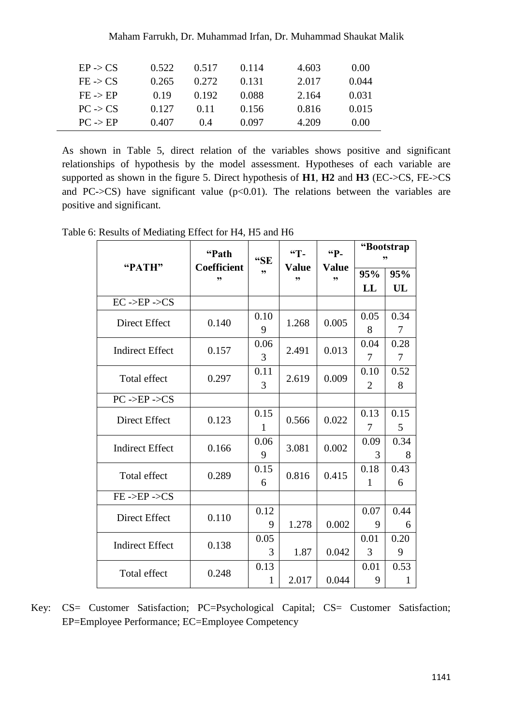| Maham Farrukh, Dr. Muhammad Irfan, Dr. Muhammad Shaukat Malik |  |  |  |  |  |
|---------------------------------------------------------------|--|--|--|--|--|
|---------------------------------------------------------------|--|--|--|--|--|

| $EP \rightarrow CS$ | 0.522 | 0.517 | 0.114 | 4.603 | 0.00  |
|---------------------|-------|-------|-------|-------|-------|
| $FE \rightarrow CS$ | 0.265 | 0.272 | 0.131 | 2.017 | 0.044 |
| $FE \rightarrow EP$ | 0.19  | 0.192 | 0.088 | 2.164 | 0.031 |
| $PC \rightarrow CS$ | 0.127 | 0.11  | 0.156 | 0.816 | 0.015 |
| $PC \rightarrow EP$ | 0.407 | ( ) 4 | 0.097 | 4.209 | 0.00  |

As shown in Table 5, direct relation of the variables shows positive and significant relationships of hypothesis by the model assessment. Hypotheses of each variable are supported as shown in the figure 5. Direct hypothesis of **H1**, **H2** and **H3** (EC->CS, FE->CS and PC- $>$ CS) have significant value ( $p$ <0.01). The relations between the variables are positive and significant.

Table 6: Results of Mediating Effect for H4, H5 and H6

|                                    | "Path                    | "SE          | <sup>"Т-</sup>     | "P-                | "Bootstrap<br>,, |                |  |
|------------------------------------|--------------------------|--------------|--------------------|--------------------|------------------|----------------|--|
| "PATH"                             | <b>Coefficient</b><br>,, | ,,           | <b>Value</b><br>,, | <b>Value</b><br>,, | 95%              | 95%            |  |
|                                    |                          |              |                    |                    | LL               | UL             |  |
| $EC - >EP - >CS$                   |                          |              |                    |                    |                  |                |  |
| Direct Effect                      | 0.140                    | 0.10         | 1.268              | 0.005              | 0.05             | 0.34           |  |
|                                    |                          | 9            |                    |                    | 8                | $\overline{7}$ |  |
| <b>Indirect Effect</b>             | 0.157                    | 0.06         | 2.491              | 0.013              | 0.04             | 0.28           |  |
|                                    |                          | 3            |                    |                    | 7                | $\overline{7}$ |  |
| Total effect                       | 0.297                    | 0.11         | 2.619              | 0.009              | 0.10             | 0.52           |  |
|                                    |                          | 3            |                    |                    | 2                | 8              |  |
| $PC \rightarrow EP \rightarrow CS$ |                          |              |                    |                    |                  |                |  |
| Direct Effect                      | 0.123                    | 0.15         | 0.566              | 0.022              | 0.13             | 0.15           |  |
|                                    |                          | $\mathbf{1}$ |                    |                    | 7                | 5              |  |
| <b>Indirect Effect</b>             | 0.166                    | 0.06         | 3.081              | 0.002              | 0.09             | 0.34           |  |
|                                    |                          | 9            |                    |                    | 3                | 8              |  |
| Total effect                       | 0.289                    | 0.15         | 0.816              | 0.415              | 0.18             | 0.43           |  |
|                                    |                          | 6            |                    |                    | 1                | 6              |  |
| $FE - EPP - CS$                    |                          |              |                    |                    |                  |                |  |
| Direct Effect                      | 0.110                    | 0.12         |                    |                    | 0.07             | 0.44           |  |
|                                    |                          | 9            | 1.278              | 0.002              | 9                | 6              |  |
| <b>Indirect Effect</b>             | 0.138                    | 0.05         |                    |                    | 0.01             | 0.20           |  |
|                                    |                          | 3            | 1.87               | 0.042              | 3                | 9              |  |
| Total effect                       | 0.248                    | 0.13         |                    |                    | 0.01             | 0.53           |  |
|                                    |                          | 1            | 2.017              | 0.044              | 9                | 1              |  |

Key: CS= Customer Satisfaction; PC=Psychological Capital; CS= Customer Satisfaction; EP=Employee Performance; EC=Employee Competency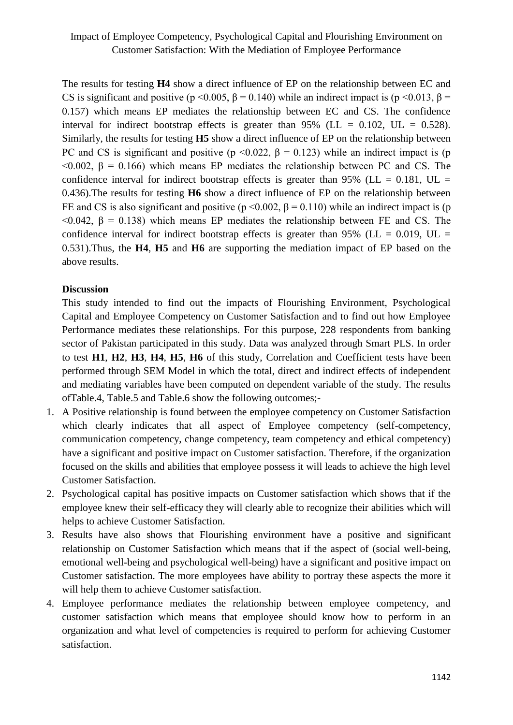The results for testing **H4** show a direct influence of EP on the relationship between EC and CS is significant and positive (p <0.005,  $\beta$  = 0.140) while an indirect impact is (p <0.013,  $\beta$  = 0.157) which means EP mediates the relationship between EC and CS. The confidence interval for indirect bootstrap effects is greater than  $95\%$  (LL = 0.102, UL = 0.528). Similarly, the results for testing **H5** show a direct influence of EP on the relationship between PC and CS is significant and positive ( $p \le 0.022$ ,  $\beta = 0.123$ ) while an indirect impact is (p  $<$ 0.002, β = 0.166) which means EP mediates the relationship between PC and CS. The confidence interval for indirect bootstrap effects is greater than 95% ( $LL = 0.181$ ,  $UL =$ 0.436).The results for testing **H6** show a direct influence of EP on the relationship between FE and CS is also significant and positive ( $p \le 0.002$ ,  $\beta = 0.110$ ) while an indirect impact is (p  $<$ 0.042, β = 0.138) which means EP mediates the relationship between FE and CS. The confidence interval for indirect bootstrap effects is greater than 95% ( $LL = 0.019$ ,  $UL =$ 0.531).Thus, the **H4**, **H5** and **H6** are supporting the mediation impact of EP based on the above results.

## **Discussion**

This study intended to find out the impacts of Flourishing Environment, Psychological Capital and Employee Competency on Customer Satisfaction and to find out how Employee Performance mediates these relationships. For this purpose, 228 respondents from banking sector of Pakistan participated in this study. Data was analyzed through Smart PLS. In order to test **H1**, **H2**, **H3**, **H4**, **H5**, **H6** of this study, Correlation and Coefficient tests have been performed through SEM Model in which the total, direct and indirect effects of independent and mediating variables have been computed on dependent variable of the study. The results ofTable.4, Table.5 and Table.6 show the following outcomes;-

- 1. A Positive relationship is found between the employee competency on Customer Satisfaction which clearly indicates that all aspect of Employee competency (self-competency, communication competency, change competency, team competency and ethical competency) have a significant and positive impact on Customer satisfaction. Therefore, if the organization focused on the skills and abilities that employee possess it will leads to achieve the high level Customer Satisfaction.
- 2. Psychological capital has positive impacts on Customer satisfaction which shows that if the employee knew their self-efficacy they will clearly able to recognize their abilities which will helps to achieve Customer Satisfaction.
- 3. Results have also shows that Flourishing environment have a positive and significant relationship on Customer Satisfaction which means that if the aspect of (social well-being, emotional well-being and psychological well-being) have a significant and positive impact on Customer satisfaction. The more employees have ability to portray these aspects the more it will help them to achieve Customer satisfaction.
- 4. Employee performance mediates the relationship between employee competency, and customer satisfaction which means that employee should know how to perform in an organization and what level of competencies is required to perform for achieving Customer satisfaction.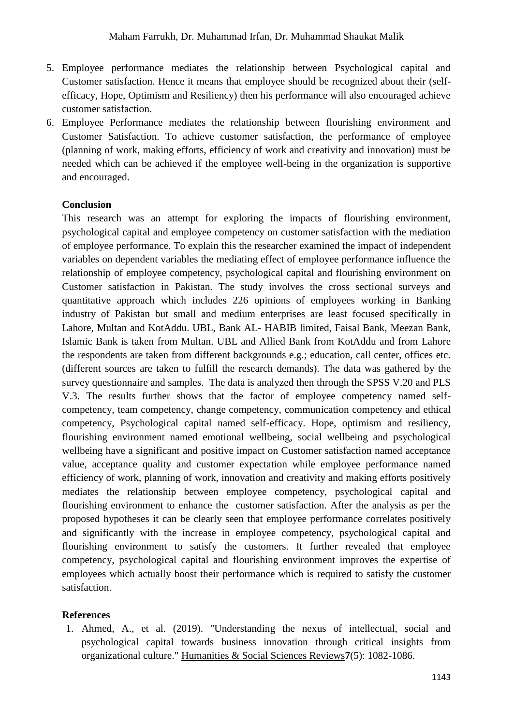- 5. Employee performance mediates the relationship between Psychological capital and Customer satisfaction. Hence it means that employee should be recognized about their (selfefficacy, Hope, Optimism and Resiliency) then his performance will also encouraged achieve customer satisfaction.
- 6. Employee Performance mediates the relationship between flourishing environment and Customer Satisfaction. To achieve customer satisfaction, the performance of employee (planning of work, making efforts, efficiency of work and creativity and innovation) must be needed which can be achieved if the employee well-being in the organization is supportive and encouraged.

#### **Conclusion**

This research was an attempt for exploring the impacts of flourishing environment, psychological capital and employee competency on customer satisfaction with the mediation of employee performance. To explain this the researcher examined the impact of independent variables on dependent variables the mediating effect of employee performance influence the relationship of employee competency, psychological capital and flourishing environment on Customer satisfaction in Pakistan. The study involves the cross sectional surveys and quantitative approach which includes 226 opinions of employees working in Banking industry of Pakistan but small and medium enterprises are least focused specifically in Lahore, Multan and KotAddu. UBL, Bank AL- HABIB limited, Faisal Bank, Meezan Bank, Islamic Bank is taken from Multan. UBL and Allied Bank from KotAddu and from Lahore the respondents are taken from different backgrounds e.g.; education, call center, offices etc. (different sources are taken to fulfill the research demands). The data was gathered by the survey questionnaire and samples. The data is analyzed then through the SPSS V.20 and PLS V.3. The results further shows that the factor of employee competency named selfcompetency, team competency, change competency, communication competency and ethical competency, Psychological capital named self-efficacy. Hope, optimism and resiliency, flourishing environment named emotional wellbeing, social wellbeing and psychological wellbeing have a significant and positive impact on Customer satisfaction named acceptance value, acceptance quality and customer expectation while employee performance named efficiency of work, planning of work, innovation and creativity and making efforts positively mediates the relationship between employee competency, psychological capital and flourishing environment to enhance the customer satisfaction. After the analysis as per the proposed hypotheses it can be clearly seen that employee performance correlates positively and significantly with the increase in employee competency, psychological capital and flourishing environment to satisfy the customers. It further revealed that employee competency, psychological capital and flourishing environment improves the expertise of employees which actually boost their performance which is required to satisfy the customer satisfaction.

#### **References**

<span id="page-13-0"></span>1. Ahmed, A., et al. (2019). "Understanding the nexus of intellectual, social and psychological capital towards business innovation through critical insights from organizational culture." Humanities & Social Sciences Reviews**7**(5): 1082-1086.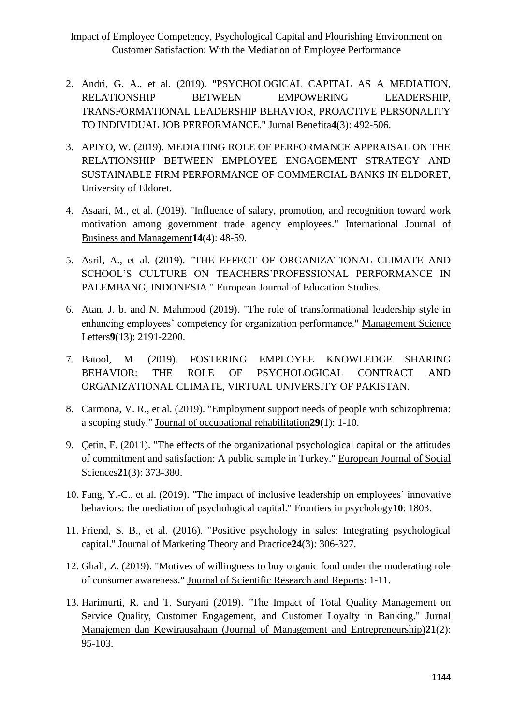- <span id="page-14-9"></span>2. Andri, G. A., et al. (2019). "PSYCHOLOGICAL CAPITAL AS A MEDIATION, RELATIONSHIP BETWEEN EMPOWERING LEADERSHIP, TRANSFORMATIONAL LEADERSHIP BEHAVIOR, PROACTIVE PERSONALITY TO INDIVIDUAL JOB PERFORMANCE." Jurnal Benefita**4**(3): 492-506.
- <span id="page-14-6"></span>3. APIYO, W. (2019). MEDIATING ROLE OF PERFORMANCE APPRAISAL ON THE RELATIONSHIP BETWEEN EMPLOYEE ENGAGEMENT STRATEGY AND SUSTAINABLE FIRM PERFORMANCE OF COMMERCIAL BANKS IN ELDORET, University of Eldoret.
- <span id="page-14-7"></span>4. Asaari, M., et al. (2019). "Influence of salary, promotion, and recognition toward work motivation among government trade agency employees." International Journal of Business and Management**14**(4): 48-59.
- <span id="page-14-5"></span>5. Asril, A., et al. (2019). "THE EFFECT OF ORGANIZATIONAL CLIMATE AND SCHOOL'S CULTURE ON TEACHERS'PROFESSIONAL PERFORMANCE IN PALEMBANG, INDONESIA." European Journal of Education Studies.
- <span id="page-14-1"></span>6. Atan, J. b. and N. Mahmood (2019). "The role of transformational leadership style in enhancing employees' competency for organization performance." Management Science Letters**9**(13): 2191-2200.
- <span id="page-14-8"></span>7. Batool, M. (2019). FOSTERING EMPLOYEE KNOWLEDGE SHARING BEHAVIOR: THE ROLE OF PSYCHOLOGICAL CONTRACT AND ORGANIZATIONAL CLIMATE, VIRTUAL UNIVERSITY OF PAKISTAN.
- <span id="page-14-4"></span>8. Carmona, V. R., et al. (2019). "Employment support needs of people with schizophrenia: a scoping study." Journal of occupational rehabilitation**29**(1): 1-10.
- <span id="page-14-10"></span>9. Çetin, F. (2011). "The effects of the organizational psychological capital on the attitudes of commitment and satisfaction: A public sample in Turkey." European Journal of Social Sciences**21**(3): 373-380.
- <span id="page-14-0"></span>10. Fang, Y.-C., et al. (2019). "The impact of inclusive leadership on employees' innovative behaviors: the mediation of psychological capital." Frontiers in psychology**10**: 1803.
- <span id="page-14-11"></span>11. Friend, S. B., et al. (2016). "Positive psychology in sales: Integrating psychological capital." Journal of Marketing Theory and Practice**24**(3): 306-327.
- <span id="page-14-3"></span>12. Ghali, Z. (2019). "Motives of willingness to buy organic food under the moderating role of consumer awareness." Journal of Scientific Research and Reports: 1-11.
- <span id="page-14-2"></span>13. Harimurti, R. and T. Suryani (2019). "The Impact of Total Quality Management on Service Quality, Customer Engagement, and Customer Loyalty in Banking." Jurnal Manajemen dan Kewirausahaan (Journal of Management and Entrepreneurship)**21**(2): 95-103.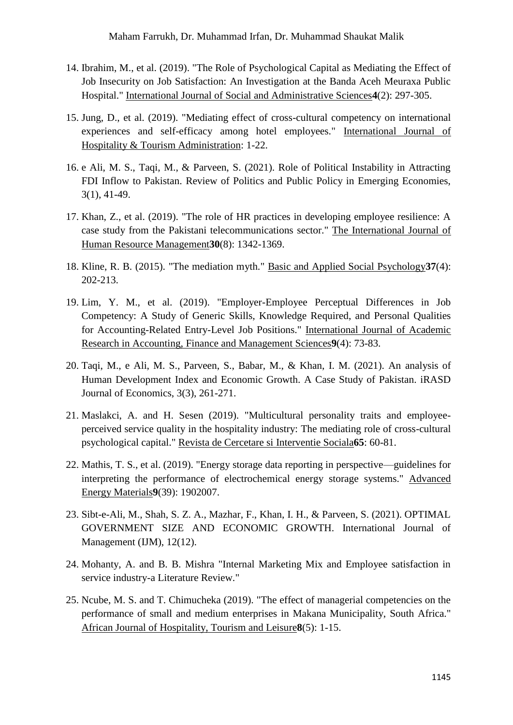- <span id="page-15-1"></span>14. Ibrahim, M., et al. (2019). "The Role of Psychological Capital as Mediating the Effect of Job Insecurity on Job Satisfaction: An Investigation at the Banda Aceh Meuraxa Public Hospital." International Journal of Social and Administrative Sciences**4**(2): 297-305.
- <span id="page-15-5"></span>15. Jung, D., et al. (2019). "Mediating effect of cross-cultural competency on international experiences and self-efficacy among hotel employees." International Journal of Hospitality & Tourism Administration: 1-22.
- 16. e Ali, M. S., Taqi, M., & Parveen, S. (2021). Role of Political Instability in Attracting FDI Inflow to Pakistan. Review of Politics and Public Policy in Emerging Economies, 3(1), 41-49.
- <span id="page-15-6"></span>17. Khan, Z., et al. (2019). "The role of HR practices in developing employee resilience: A case study from the Pakistani telecommunications sector." The International Journal of Human Resource Management**30**(8): 1342-1369.
- <span id="page-15-8"></span>18. Kline, R. B. (2015). "The mediation myth." Basic and Applied Social Psychology**37**(4): 202-213.
- <span id="page-15-2"></span>19. Lim, Y. M., et al. (2019). "Employer-Employee Perceptual Differences in Job Competency: A Study of Generic Skills, Knowledge Required, and Personal Qualities for Accounting-Related Entry-Level Job Positions." International Journal of Academic Research in Accounting, Finance and Management Sciences**9**(4): 73-83.
- 20. Taqi, M., e Ali, M. S., Parveen, S., Babar, M., & Khan, I. M. (2021). An analysis of Human Development Index and Economic Growth. A Case Study of Pakistan. iRASD Journal of Economics, 3(3), 261-271.
- <span id="page-15-3"></span>21. Maslakci, A. and H. Sesen (2019). "Multicultural personality traits and employeeperceived service quality in the hospitality industry: The mediating role of cross-cultural psychological capital." Revista de Cercetare si Interventie Sociala**65**: 60-81.
- <span id="page-15-0"></span>22. Mathis, T. S., et al. (2019). "Energy storage data reporting in perspective—guidelines for interpreting the performance of electrochemical energy storage systems." Advanced Energy Materials**9**(39): 1902007.
- 23. Sibt-e-Ali, M., Shah, S. Z. A., Mazhar, F., Khan, I. H., & Parveen, S. (2021). OPTIMAL GOVERNMENT SIZE AND ECONOMIC GROWTH. International Journal of Management (IJM), 12(12).
- <span id="page-15-7"></span>24. Mohanty, A. and B. B. Mishra "Internal Marketing Mix and Employee satisfaction in service industry-a Literature Review."
- <span id="page-15-4"></span>25. Ncube, M. S. and T. Chimucheka (2019). "The effect of managerial competencies on the performance of small and medium enterprises in Makana Municipality, South Africa." African Journal of Hospitality, Tourism and Leisure**8**(5): 1-15.